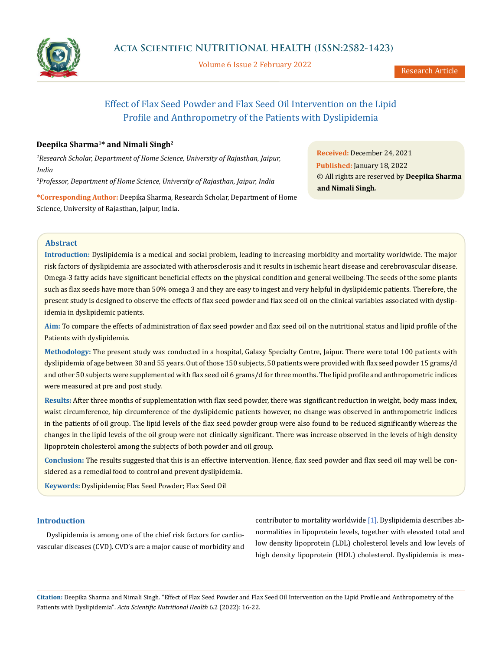

Volume 6 Issue 2 February 2022

# Effect of Flax Seed Powder and Flax Seed Oil Intervention on the Lipid Profile and Anthropometry of the Patients with Dyslipidemia

# **Deepika Sharma1\* and Nimali Singh2**

*1 Research Scholar, Department of Home Science, University of Rajasthan, Jaipur, India*

*2 Professor, Department of Home Science, University of Rajasthan, Jaipur, India*

**\*Corresponding Author:** Deepika Sharma, Research Scholar, Department of Home Science, University of Rajasthan, Jaipur, India.

**Received:** December 24, 2021 **Published:** January 18, 2022 © All rights are reserved by **Deepika Sharma and Nimali Singh***.*

# **Abstract**

**Introduction:** Dyslipidemia is a medical and social problem, leading to increasing morbidity and mortality worldwide. The major risk factors of dyslipidemia are associated with atherosclerosis and it results in ischemic heart disease and cerebrovascular disease. Omega-3 fatty acids have significant beneficial effects on the physical condition and general wellbeing. The seeds of the some plants such as flax seeds have more than 50% omega 3 and they are easy to ingest and very helpful in dyslipidemic patients. Therefore, the present study is designed to observe the effects of flax seed powder and flax seed oil on the clinical variables associated with dyslipidemia in dyslipidemic patients.

**Aim:** To compare the effects of administration of flax seed powder and flax seed oil on the nutritional status and lipid profile of the Patients with dyslipidemia.

**Methodology:** The present study was conducted in a hospital, Galaxy Specialty Centre, Jaipur. There were total 100 patients with dyslipidemia of age between 30 and 55 years. Out of those 150 subjects, 50 patients were provided with flax seed powder 15 grams/d and other 50 subjects were supplemented with flax seed oil 6 grams/d for three months. The lipid profile and anthropometric indices were measured at pre and post study.

**Results:** After three months of supplementation with flax seed powder, there was significant reduction in weight, body mass index, waist circumference, hip circumference of the dyslipidemic patients however, no change was observed in anthropometric indices in the patients of oil group. The lipid levels of the flax seed powder group were also found to be reduced significantly whereas the changes in the lipid levels of the oil group were not clinically significant. There was increase observed in the levels of high density lipoprotein cholesterol among the subjects of both powder and oil group.

**Conclusion:** The results suggested that this is an effective intervention. Hence, flax seed powder and flax seed oil may well be considered as a remedial food to control and prevent dyslipidemia.

**Keywords:** Dyslipidemia; Flax Seed Powder; Flax Seed Oil

### **Introduction**

Dyslipidemia is among one of the chief risk factors for cardiovascular diseases (CVD). CVD's are a major cause of morbidity and

contributor to mortality worldwide [1]. Dyslipidemia describes abnormalities in lipoprotein levels, together with elevated total and low density lipoprotein (LDL) cholesterol levels and low levels of high density lipoprotein (HDL) cholesterol. Dyslipidemia is mea-

**Citation:** Deepika Sharma and Nimali Singh*.* "Effect of Flax Seed Powder and Flax Seed Oil Intervention on the Lipid Profile and Anthropometry of the Patients with Dyslipidemia". *Acta Scientific Nutritional Health* 6.2 (2022): 16-22.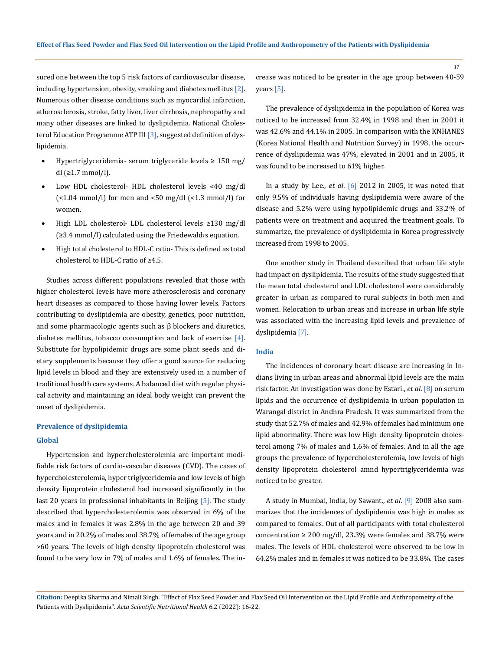sured one between the top 5 risk factors of cardiovascular disease, including hypertension, obesity, smoking and diabetes mellitus [2]. Numerous other disease conditions such as myocardial infarction, atherosclerosis, stroke, fatty liver, liver cirrhosis, nephropathy and many other diseases are linked to dyslipidemia. National Cholesterol Education Programme ATP III [3], suggested definition of dyslipidemia.

- Hypertriglyceridemia- serum triglyceride levels  $\geq 150$  mg/ dl (≥1.7 mmol/l).
- Low HDL cholesterol- HDL cholesterol levels <40 mg/dl  $\left[$  <1.04 mmol/l) for men and <50 mg/dl  $\left[$  <1.3 mmol/l) for women.
- High LDL cholesterol- LDL cholesterol levels ≥130 mg/dl (≥3.4 mmol/l) calculated using the Friedewald›s equation.
- High total cholesterol to HDL-C ratio- This is defined as total cholesterol to HDL-C ratio of ≥4.5.

Studies across different populations revealed that those with higher cholesterol levels have more atherosclerosis and coronary heart diseases as compared to those having lower levels. Factors contributing to dyslipidemia are obesity, genetics, poor nutrition, and some pharmacologic agents such as β blockers and diuretics, diabetes mellitus, tobacco consumption and lack of exercise [4]. Substitute for hypolipidemic drugs are some plant seeds and dietary supplements because they offer a good source for reducing lipid levels in blood and they are extensively used in a number of traditional health care systems. A balanced diet with regular physical activity and maintaining an ideal body weight can prevent the onset of dyslipidemia.

#### **Prevalence of dyslipidemia**

#### **Global**

Hypertension and hypercholesterolemia are important modifiable risk factors of cardio-vascular diseases (CVD). The cases of hypercholesterolemia, hyper triglyceridemia and low levels of high density lipoprotein cholesterol had increased significantly in the last 20 years in professional inhabitants in Beijing [5]. The study described that hypercholesterolemia was observed in 6% of the males and in females it was 2.8% in the age between 20 and 39 years and in 20.2% of males and 38.7% of females of the age group >60 years. The levels of high density lipoprotein cholesterol was found to be very low in 7% of males and 1.6% of females. The increase was noticed to be greater in the age group between 40-59 years [5].

The prevalence of dyslipidemia in the population of Korea was noticed to be increased from 32.4% in 1998 and then in 2001 it was 42.6% and 44.1% in 2005. In comparison with the KNHANES (Korea National Health and Nutrition Survey) in 1998, the occurrence of dyslipidemia was 47%, elevated in 2001 and in 2005, it was found to be increased to 61% higher.

In a study by Lee., *et al*. [6] 2012 in 2005, it was noted that only 9.5% of individuals having dyslipidemia were aware of the disease and 5.2% were using hypolipidemic drugs and 33.2% of patients were on treatment and acquired the treatment goals. To summarize, the prevalence of dyslipidemia in Korea progressively increased from 1998 to 2005.

One another study in Thailand described that urban life style had impact on dyslipidemia. The results of the study suggested that the mean total cholesterol and LDL cholesterol were considerably greater in urban as compared to rural subjects in both men and women. Relocation to urban areas and increase in urban life style was associated with the increasing lipid levels and prevalence of dyslipidemia [7].

#### **India**

The incidences of coronary heart disease are increasing in Indians living in urban areas and abnormal lipid levels are the main risk factor. An investigation was done by Estari., *et al*. [8] on serum lipids and the occurrence of dyslipidemia in urban population in Warangal district in Andhra Pradesh. It was summarized from the study that 52.7% of males and 42.9% of females had minimum one lipid abnormality. There was low High density lipoprotein cholesterol among 7% of males and 1.6% of females. And in all the age groups the prevalence of hypercholesterolemia, low levels of high density lipoprotein cholesterol amnd hypertriglyceridemia was noticed to be greater.

A study in Mumbai, India, by Sawant., *et al*. [9] 2008 also summarizes that the incidences of dyslipidemia was high in males as compared to females. Out of all participants with total cholesterol concentration  $\geq 200$  mg/dl, 23.3% were females and 38.7% were males. The levels of HDL cholesterol were observed to be low in 64.2% males and in females it was noticed to be 33.8%. The cases

**Citation:** Deepika Sharma and Nimali Singh*.* "Effect of Flax Seed Powder and Flax Seed Oil Intervention on the Lipid Profile and Anthropometry of the Patients with Dyslipidemia". *Acta Scientific Nutritional Health* 6.2 (2022): 16-22.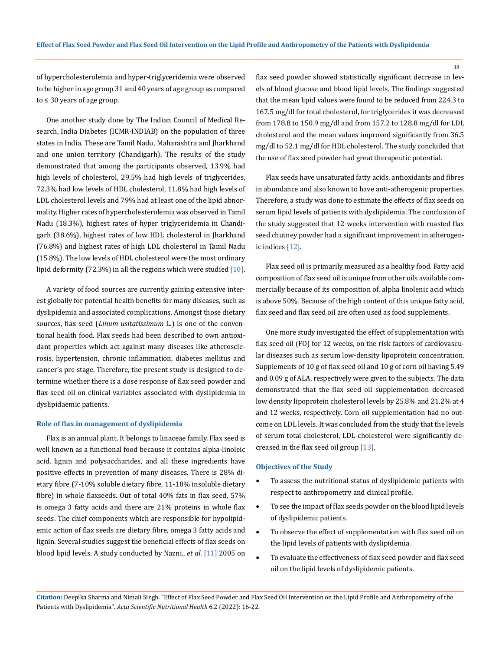of hypercholesterolemia and hyper-triglyceridemia were observed to be higher in age group 31 and 40 years of age group as compared to ≤ 30 years of age group.

One another study done by The Indian Council of Medical Research, India Diabetes (ICMR-INDIAB) on the population of three states in India. These are Tamil Nadu, Maharashtra and Jharkhand and one union territory (Chandigarh). The results of the study demonstrated that among the participants observed, 13.9% had high levels of cholesterol, 29.5% had high levels of triglycerides, 72.3% had low levels of HDL cholesterol, 11.8% had high levels of LDL cholesterol levels and 79% had at least one of the lipid abnormality. Higher rates of hypercholesterolemia was observed in Tamil Nadu (18.3%), highest rates of hyper triglyceridemia in Chandigarh (38.6%), highest rates of low HDL cholesterol in Jharkhand (76.8%) and highest rates of high LDL cholesterol in Tamil Nadu (15.8%). The low levels of HDL cholesterol were the most ordinary lipid deformity (72.3%) in all the regions which were studied  $[10]$ .

A variety of food sources are currently gaining extensive interest globally for potential health benefits for many diseases, such as dyslipidemia and associated complications. Amongst those dietary sources, flax seed (*Linum usitatissimum* L.) is one of the conventional health food. Flax seeds had been described to own antioxidant properties which act against many diseases like atherosclerosis, hypertension, chronic inflammation, diabetes mellitus and cancer's pre stage. Therefore, the present study is designed to determine whether there is a dose response of flax seed powder and flax seed oil on clinical variables associated with dyslipidemia in dyslipidaemic patients.

#### **Role of flax in management of dyslipidemia**

Flax is an annual plant. It belongs to linaceae family. Flax seed is well known as a functional food because it contains alpha-linoleic acid, lignin and polysaccharides, and all these ingredients have positive effects in prevention of many diseases. There is 28% dietary fibre (7-10% soluble dietary fibre, 11-18% insoluble dietary fibre) in whole flaxseeds. Out of total 40% fats in flax seed, 57% is omega 3 fatty acids and there are 21% proteins in whole flax seeds. The chief components which are responsible for hypolipidemic action of flax seeds are dietary fibre, omega 3 fatty acids and lignin. Several studies suggest the beneficial effects of flax seeds on blood lipid levels. A study conducted by Nazni., *et al*. [11] 2005 on flax seed powder showed statistically significant decrease in levels of blood glucose and blood lipid levels. The findings suggested that the mean lipid values were found to be reduced from 224.3 to 167.5 mg/dl for total cholesterol, for triglycerides it was decreased from 178.8 to 150.9 mg/dl and from 157.2 to 128.8 mg/dl for LDL cholesterol and the mean values improved significantly from 36.5 mg/dl to 52.1 mg/dl for HDL cholesterol. The study concluded that the use of flax seed powder had great therapeutic potential.

Flax seeds have unsaturated fatty acids, antioxidants and fibres in abundance and also known to have anti-atherogenic properties. Therefore, a study was done to estimate the effects of flax seeds on serum lipid levels of patients with dyslipidemia. The conclusion of the study suggested that 12 weeks intervention with roasted flax seed chutney powder had a significant improvement in atherogenic indices [12].

Flax seed oil is primarily measured as a healthy food. Fatty acid composition of flax seed oil is unique from other oils available commercially because of its composition of, alpha linolenic acid which is above 50%. Because of the high content of this unique fatty acid, flax seed and flax seed oil are often used as food supplements.

One more study investigated the effect of supplementation with flax seed oil (FO) for 12 weeks, on the risk factors of cardiovascular diseases such as serum low-density lipoprotein concentration. Supplements of 10 g of flax seed oil and 10 g of corn oil having 5.49 and 0.09 g of ALA, respectively were given to the subjects. The data demonstrated that the flax seed oil supplementation decreased low density lipoprotein cholesterol levels by 25.8% and 21.2% at 4 and 12 weeks, respectively. Corn oil supplementation had no outcome on LDL levels. It was concluded from the study that the levels of serum total cholesterol, LDL-cholesterol were significantly decreased in the flax seed oil group [13].

#### **Objectives of the Study**

- • To assess the nutritional status of dyslipidemic patients with respect to anthropometry and clinical profile.
- • To see the impact of flax seeds powder on the blood lipid levels of dyslipidemic patients.
- To observe the effect of supplementation with flax seed oil on the lipid levels of patients with dyslipidemia.
- • To evaluate the effectiveness of flax seed powder and flax seed oil on the lipid levels of dyslipidemic patients.

**Citation:** Deepika Sharma and Nimali Singh*.* "Effect of Flax Seed Powder and Flax Seed Oil Intervention on the Lipid Profile and Anthropometry of the Patients with Dyslipidemia". *Acta Scientific Nutritional Health* 6.2 (2022): 16-22.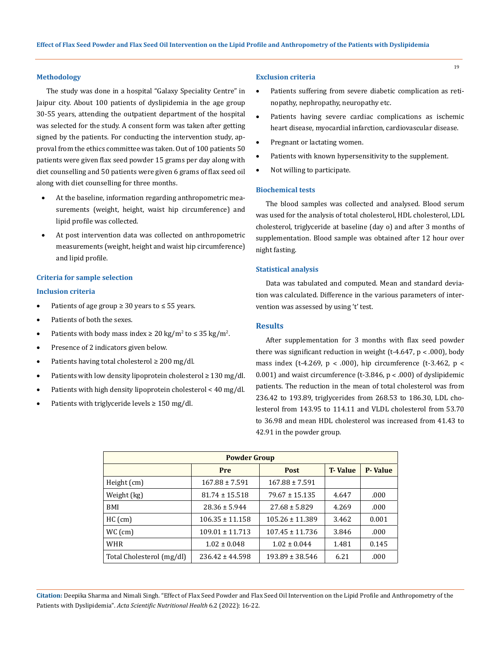#### **Methodology**

The study was done in a hospital "Galaxy Speciality Centre" in Jaipur city. About 100 patients of dyslipidemia in the age group 30-55 years, attending the outpatient department of the hospital was selected for the study. A consent form was taken after getting signed by the patients. For conducting the intervention study, approval from the ethics committee was taken. Out of 100 patients 50 patients were given flax seed powder 15 grams per day along with diet counselling and 50 patients were given 6 grams of flax seed oil along with diet counselling for three months.

- At the baseline, information regarding anthropometric measurements (weight, height, waist hip circumference) and lipid profile was collected.
- At post intervention data was collected on anthropometric measurements (weight, height and waist hip circumference) and lipid profile.

#### **Criteria for sample selection**

#### **Inclusion criteria**

- Patients of age group  $\geq 30$  years to  $\leq 55$  years.
- • Patients of both the sexes.
- Patients with body mass index  $\geq 20 \text{ kg/m}^2$  to  $\leq 35 \text{ kg/m}^2$ .
- Presence of 2 indicators given below.
- • Patients having total cholesterol ≥ 200 mg/dl.
- • Patients with low density lipoprotein cholesterol ≥ 130 mg/dl.
- Patients with high density lipoprotein cholesterol < 40 mg/dl.
- Patients with triglyceride levels  $\geq 150$  mg/dl.

#### **Exclusion criteria**

- Patients suffering from severe diabetic complication as retinopathy, nephropathy, neuropathy etc.
- • Patients having severe cardiac complications as ischemic heart disease, myocardial infarction, cardiovascular disease.
- Pregnant or lactating women.
- Patients with known hypersensitivity to the supplement.
- Not willing to participate.

#### **Biochemical tests**

The blood samples was collected and analysed. Blood serum was used for the analysis of total cholesterol, HDL cholesterol, LDL cholesterol, triglyceride at baseline (day o) and after 3 months of supplementation. Blood sample was obtained after 12 hour over night fasting.

#### **Statistical analysis**

Data was tabulated and computed. Mean and standard deviation was calculated. Difference in the various parameters of intervention was assessed by using 't' test.

#### **Results**

After supplementation for 3 months with flax seed powder there was significant reduction in weight (t-4.647,  $p < .000$ ), body mass index (t-4.269,  $p < .000$ ), hip circumference (t-3.462,  $p <$ 0.001) and waist circumference (t-3.846,  $p < .000$ ) of dyslipidemic patients. The reduction in the mean of total cholesterol was from 236.42 to 193.89, triglycerides from 268.53 to 186.30, LDL cholesterol from 143.95 to 114.11 and VLDL cholesterol from 53.70 to 36.98 and mean HDL cholesterol was increased from 41.43 to 42.91 in the powder group.

| <b>Powder Group</b>       |                     |                                |       |                |  |  |
|---------------------------|---------------------|--------------------------------|-------|----------------|--|--|
|                           | Pre                 | <b>T</b> -Value<br><b>Post</b> |       | <b>P-Value</b> |  |  |
| Height (cm)               | $167.88 \pm 7.591$  | $167.88 \pm 7.591$             |       |                |  |  |
| Weight (kg)               | $81.74 \pm 15.518$  | $79.67 \pm 15.135$             | 4.647 | .000           |  |  |
| BMI                       | $28.36 \pm 5.944$   | $27.68 \pm 5.829$              | 4.269 | .000           |  |  |
| $HC$ (cm)                 | $106.35 \pm 11.158$ | $105.26 \pm 11.389$            | 3.462 | 0.001          |  |  |
| $WC$ (cm)                 | $109.01 \pm 11.713$ | $107.45 \pm 11.736$            | 3.846 | .000           |  |  |
| <b>WHR</b>                | $1.02 \pm 0.048$    | $1.02 \pm 0.044$               | 1.481 | 0.145          |  |  |
| Total Cholesterol (mg/dl) | $236.42 \pm 44.598$ | $193.89 \pm 38.546$            | 6.21  | .000           |  |  |

**Citation:** Deepika Sharma and Nimali Singh*.* "Effect of Flax Seed Powder and Flax Seed Oil Intervention on the Lipid Profile and Anthropometry of the Patients with Dyslipidemia". *Acta Scientific Nutritional Health* 6.2 (2022): 16-22.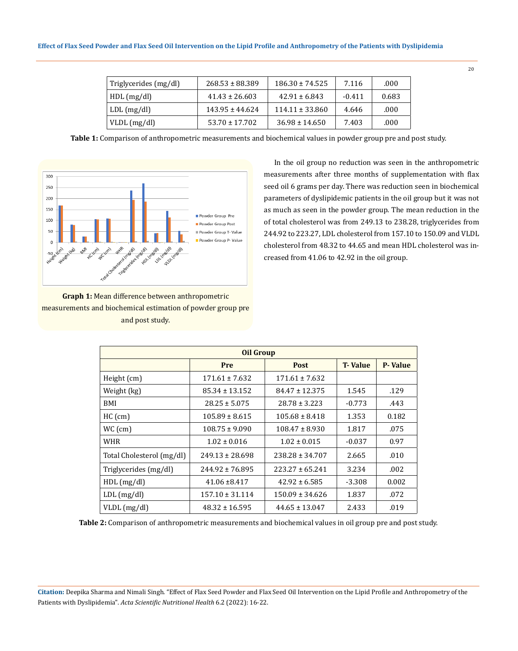| Triglycerides (mg/dl) | $268.53 \pm 88.389$ | $186.30 \pm 74.525$ | 7.116    | .000  |
|-----------------------|---------------------|---------------------|----------|-------|
| HDL(mg/dl)            | $41.43 \pm 26.603$  | $42.91 \pm 6.843$   | $-0.411$ | 0.683 |
| $LDL$ (mg/dl)         | $143.95 \pm 44.624$ | $114.11 \pm 33.860$ | 4.646    | .000  |
| $VLDL$ (mg/dl)        | $53.70 \pm 17.702$  | $36.98 \pm 14.650$  | 7.403    | .000  |

**Table 1:** Comparison of anthropometric measurements and biochemical values in powder group pre and post study.



**Graph 1:** Mean difference between anthropometric measurements and biochemical estimation of powder group pre and post study.

In the oil group no reduction was seen in the anthropometric measurements after three months of supplementation with flax seed oil 6 grams per day. There was reduction seen in biochemical parameters of dyslipidemic patients in the oil group but it was not as much as seen in the powder group. The mean reduction in the of total cholesterol was from 249.13 to 238.28, triglycerides from 244.92 to 223.27, LDL cholesterol from 157.10 to 150.09 and VLDL cholesterol from 48.32 to 44.65 and mean HDL cholesterol was increased from 41.06 to 42.92 in the oil group.

| <b>Oil Group</b>          |                     |                     |                 |                |  |
|---------------------------|---------------------|---------------------|-----------------|----------------|--|
|                           | Pre                 | <b>Post</b>         | <b>T</b> -Value | <b>P-Value</b> |  |
| Height (cm)               | $171.61 \pm 7.632$  | $171.61 \pm 7.632$  |                 |                |  |
| Weight (kg)               | $85.34 \pm 13.152$  | $84.47 \pm 12.375$  | 1.545           | .129           |  |
| BMI                       | $28.25 \pm 5.075$   | $28.78 \pm 3.223$   | $-0.773$        | .443           |  |
| $HC$ (cm)                 | $105.89 \pm 8.615$  | $105.68 \pm 8.418$  | 1.353           | 0.182          |  |
| $WC$ (cm)                 | $108.75 \pm 9.090$  | $108.47 \pm 8.930$  | 1.817           | .075           |  |
| WHR                       | $1.02 \pm 0.016$    | $1.02 \pm 0.015$    | $-0.037$        | 0.97           |  |
| Total Cholesterol (mg/dl) | $249.13 \pm 28.698$ | $238.28 \pm 34.707$ | 2.665           | .010           |  |
| Triglycerides (mg/dl)     | 244.92 ± 76.895     | $223.27 \pm 65.241$ | 3.234           | .002           |  |
| $HDL$ (mg/dl)             | $41.06 \pm 8.417$   | $42.92 \pm 6.585$   | $-3.308$        | 0.002          |  |
| $LDL$ (mg/dl)             | $157.10 \pm 31.114$ | $150.09 \pm 34.626$ | 1.837           | .072           |  |
| $VLDL$ (mg/dl)            | $48.32 \pm 16.595$  | $44.65 \pm 13.047$  | 2.433           | .019           |  |

**Table 2:** Comparison of anthropometric measurements and biochemical values in oil group pre and post study.

**Citation:** Deepika Sharma and Nimali Singh*.* "Effect of Flax Seed Powder and Flax Seed Oil Intervention on the Lipid Profile and Anthropometry of the Patients with Dyslipidemia". *Acta Scientific Nutritional Health* 6.2 (2022): 16-22.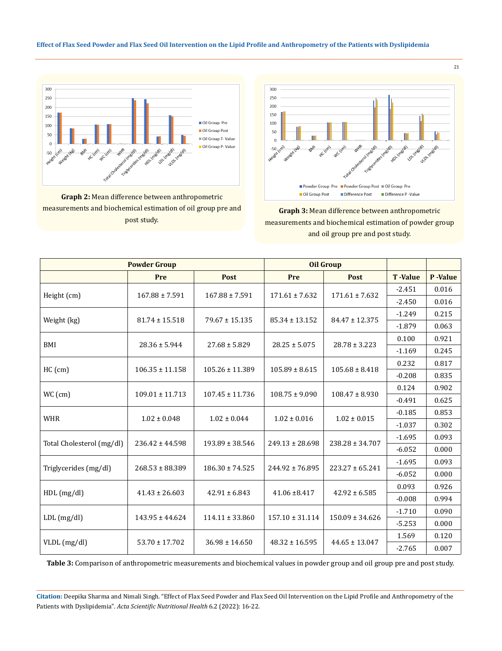#### **Effect of Flax Seed Powder and Flax Seed Oil Intervention on the Lipid Profile and Anthropometry of the Patients with Dyslipidemia**



**Graph 2:** Mean difference between anthropometric measurements and biochemical estimation of oil group pre and post study.



# **Graph 3:** Mean difference between anthropometric measurements and biochemical estimation of powder group and oil group pre and post study.

| <b>Powder Group</b>       |                     |                     | <b>Oil Group</b>    |                     |                 |                 |
|---------------------------|---------------------|---------------------|---------------------|---------------------|-----------------|-----------------|
|                           | Pre                 | <b>Post</b>         | Pre                 | <b>Post</b>         | <b>T</b> -Value | <b>P</b> -Value |
|                           | $167.88 \pm 7.591$  | $167.88 \pm 7.591$  | $171.61 \pm 7.632$  | $171.61 \pm 7.632$  | $-2.451$        | 0.016           |
| Height (cm)               |                     |                     |                     |                     | $-2.450$        | 0.016           |
|                           | $81.74 \pm 15.518$  | $79.67 \pm 15.135$  | $85.34 \pm 13.152$  | $84.47 \pm 12.375$  | $-1.249$        | 0.215           |
| Weight (kg)               |                     |                     |                     |                     | $-1.879$        | 0.063           |
| BMI                       | $28.36 \pm 5.944$   | $27.68 \pm 5.829$   | $28.25 \pm 5.075$   | $28.78 \pm 3.223$   | 0.100           | 0.921           |
|                           |                     |                     |                     |                     | $-1.169$        | 0.245           |
|                           |                     |                     | $105.89 \pm 8.615$  | $105.68 \pm 8.418$  | 0.232           | 0.817           |
| $HC$ (cm)                 | $106.35 \pm 11.158$ | $105.26 \pm 11.389$ |                     |                     | $-0.208$        | 0.835           |
| WC (cm)                   | $109.01 \pm 11.713$ | $107.45 \pm 11.736$ | $108.75 \pm 9.090$  | $108.47 \pm 8.930$  | 0.124           | 0.902           |
|                           |                     |                     |                     |                     | $-0.491$        | 0.625           |
| <b>WHR</b>                | $1.02 \pm 0.048$    | $1.02 \pm 0.044$    | $1.02 \pm 0.016$    | $1.02 \pm 0.015$    | $-0.185$        | 0.853           |
|                           |                     |                     |                     |                     | $-1.037$        | 0.302           |
|                           | $236.42 \pm 44.598$ | $193.89 \pm 38.546$ | $249.13 \pm 28.698$ | $238.28 \pm 34.707$ | $-1.695$        | 0.093           |
| Total Cholesterol (mg/dl) |                     |                     |                     |                     | $-6.052$        | 0.000           |
| Triglycerides (mg/dl)     | $268.53 \pm 88.389$ | $186.30 \pm 74.525$ | $244.92 \pm 76.895$ | $223.27 \pm 65.241$ | $-1.695$        | 0.093           |
|                           |                     |                     |                     |                     | $-6.052$        | 0.000           |
| $HDL$ (mg/dl)             | $41.43 \pm 26.603$  | $42.91 \pm 6.843$   | $41.06 \pm 8.417$   | $42.92 \pm 6.585$   | 0.093           | 0.926           |
|                           |                     |                     |                     |                     | $-0.008$        | 0.994           |
| $LDL$ (mg/dl)             | $143.95 \pm 44.624$ | $114.11 \pm 33.860$ | $157.10 \pm 31.114$ | $150.09 \pm 34.626$ | $-1.710$        | 0.090           |
|                           |                     |                     |                     |                     | $-5.253$        | 0.000           |
| $VLDL$ (mg/dl)            | $53.70 \pm 17.702$  | $36.98 \pm 14.650$  | $48.32 \pm 16.595$  | $44.65 \pm 13.047$  | 1.569           | 0.120           |
|                           |                     |                     |                     |                     | $-2.765$        | 0.007           |

**Table 3:** Comparison of anthropometric measurements and biochemical values in powder group and oil group pre and post study.

**Citation:** Deepika Sharma and Nimali Singh*.* "Effect of Flax Seed Powder and Flax Seed Oil Intervention on the Lipid Profile and Anthropometry of the Patients with Dyslipidemia". *Acta Scientific Nutritional Health* 6.2 (2022): 16-22.